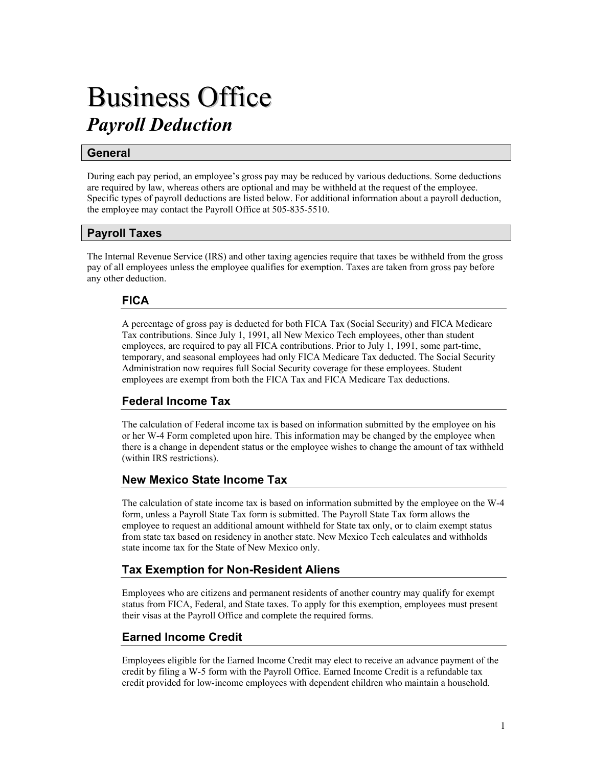# Business Office *Payroll Deduction*

# **General**

During each pay period, an employee's gross pay may be reduced by various deductions. Some deductions are required by law, whereas others are optional and may be withheld at the request of the employee. Specific types of payroll deductions are listed below. For additional information about a payroll deduction, the employee may contact the Payroll Office at 505-835-5510.

# **Payroll Taxes**

The Internal Revenue Service (IRS) and other taxing agencies require that taxes be withheld from the gross pay of all employees unless the employee qualifies for exemption. Taxes are taken from gross pay before any other deduction.

# **FICA**

A percentage of gross pay is deducted for both FICA Tax (Social Security) and FICA Medicare Tax contributions. Since July 1, 1991, all New Mexico Tech employees, other than student employees, are required to pay all FICA contributions. Prior to July 1, 1991, some part-time, temporary, and seasonal employees had only FICA Medicare Tax deducted. The Social Security Administration now requires full Social Security coverage for these employees. Student employees are exempt from both the FICA Tax and FICA Medicare Tax deductions.

# **Federal Income Tax**

The calculation of Federal income tax is based on information submitted by the employee on his or her W-4 Form completed upon hire. This information may be changed by the employee when there is a change in dependent status or the employee wishes to change the amount of tax withheld (within IRS restrictions).

# **New Mexico State Income Tax**

The calculation of state income tax is based on information submitted by the employee on the W-4 form, unless a Payroll State Tax form is submitted. The Payroll State Tax form allows the employee to request an additional amount withheld for State tax only, or to claim exempt status from state tax based on residency in another state. New Mexico Tech calculates and withholds state income tax for the State of New Mexico only.

# **Tax Exemption for Non-Resident Aliens**

Employees who are citizens and permanent residents of another country may qualify for exempt status from FICA, Federal, and State taxes. To apply for this exemption, employees must present their visas at the Payroll Office and complete the required forms.

# **Earned Income Credit**

Employees eligible for the Earned Income Credit may elect to receive an advance payment of the credit by filing a W-5 form with the Payroll Office. Earned Income Credit is a refundable tax credit provided for low-income employees with dependent children who maintain a household.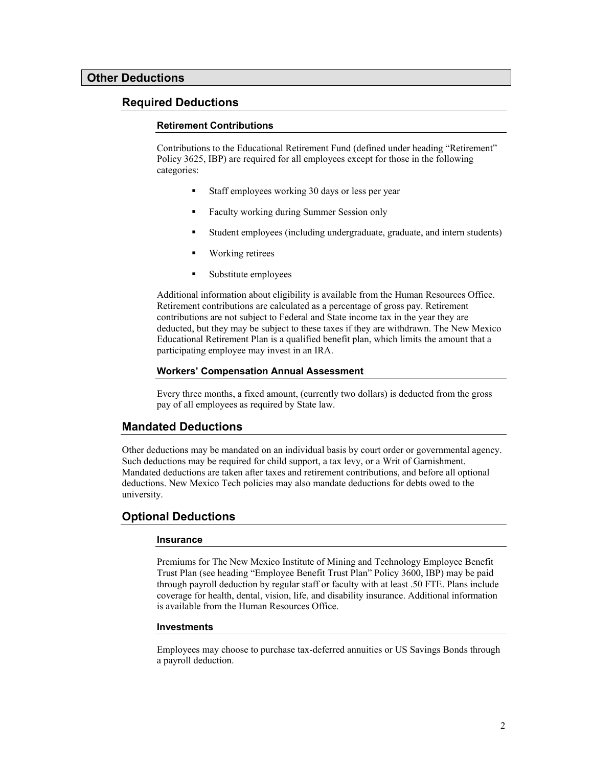## **Required Deductions**

#### **Retirement Contributions**

Contributions to the Educational Retirement Fund (defined under heading "Retirement" Policy 3625, IBP) are required for all employees except for those in the following categories:

- Staff employees working 30 days or less per year
- **Faculty working during Summer Session only**
- Student employees (including undergraduate, graduate, and intern students)
- **Working retires**
- Substitute employees

Additional information about eligibility is available from the Human Resources Office. Retirement contributions are calculated as a percentage of gross pay. Retirement contributions are not subject to Federal and State income tax in the year they are deducted, but they may be subject to these taxes if they are withdrawn. The New Mexico Educational Retirement Plan is a qualified benefit plan, which limits the amount that a participating employee may invest in an IRA.

#### **Workers' Compensation Annual Assessment**

Every three months, a fixed amount, (currently two dollars) is deducted from the gross pay of all employees as required by State law.

## **Mandated Deductions**

Other deductions may be mandated on an individual basis by court order or governmental agency. Such deductions may be required for child support, a tax levy, or a Writ of Garnishment. Mandated deductions are taken after taxes and retirement contributions, and before all optional deductions. New Mexico Tech policies may also mandate deductions for debts owed to the university.

## **Optional Deductions**

#### **Insurance**

Premiums for The New Mexico Institute of Mining and Technology Employee Benefit Trust Plan (see heading "Employee Benefit Trust Plan" Policy 3600, IBP) may be paid through payroll deduction by regular staff or faculty with at least .50 FTE. Plans include coverage for health, dental, vision, life, and disability insurance. Additional information is available from the Human Resources Office.

#### **Investments**

Employees may choose to purchase tax-deferred annuities or US Savings Bonds through a payroll deduction.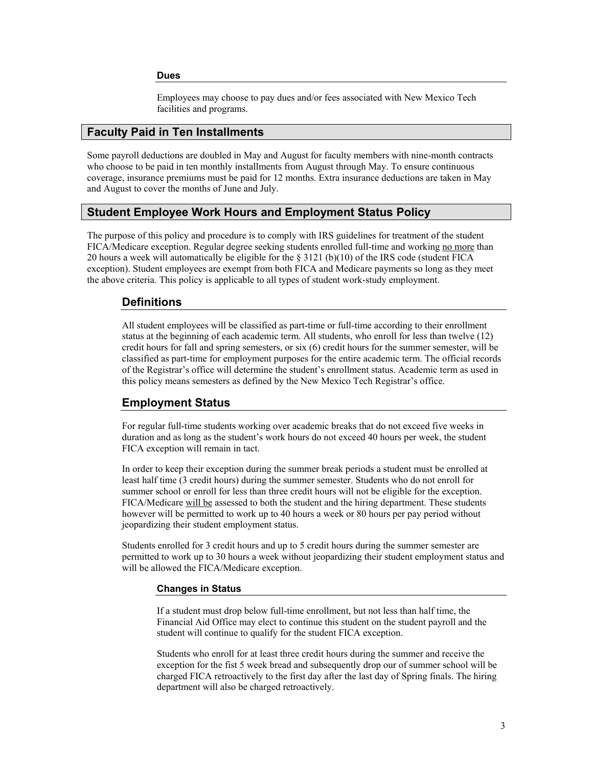#### **Dues**

Employees may choose to pay dues and/or fees associated with New Mexico Tech facilities and programs.

## **Faculty Paid in Ten Installments**

Some payroll deductions are doubled in May and August for faculty members with nine-month contracts who choose to be paid in ten monthly installments from August through May. To ensure continuous coverage, insurance premiums must be paid for 12 months. Extra insurance deductions are taken in May and August to cover the months of June and July.

## **Student Employee Work Hours and Employment Status Policy**

The purpose of this policy and procedure is to comply with IRS guidelines for treatment of the student FICA/Medicare exception. Regular degree seeking students enrolled full-time and working no more than 20 hours a week will automatically be eligible for the § 3121 (b)(10) of the IRS code (student FICA exception). Student employees are exempt from both FICA and Medicare payments so long as they meet the above criteria. This policy is applicable to all types of student work-study employment.

## **Definitions**

All student employees will be classified as part-time or full-time according to their enrollment status at the beginning of each academic term. All students, who enroll for less than twelve (12) credit hours for fall and spring semesters, or six (6) credit hours for the summer semester, will be classified as part-time for employment purposes for the entire academic term. The official records of the Registrar's office will determine the student's enrollment status. Academic term as used in this policy means semesters as defined by the New Mexico Tech Registrar's office.

## **Employment Status**

For regular full-time students working over academic breaks that do not exceed five weeks in duration and as long as the student's work hours do not exceed 40 hours per week, the student FICA exception will remain in tact.

In order to keep their exception during the summer break periods a student must be enrolled at least half time (3 credit hours) during the summer semester. Students who do not enroll for summer school or enroll for less than three credit hours will not be eligible for the exception. FICA/Medicare will be assessed to both the student and the hiring department. These students however will be permitted to work up to 40 hours a week or 80 hours per pay period without jeopardizing their student employment status.

Students enrolled for 3 credit hours and up to 5 credit hours during the summer semester are permitted to work up to 30 hours a week without jeopardizing their student employment status and will be allowed the FICA/Medicare exception.

#### **Changes in Status**

If a student must drop below full-time enrollment, but not less than half time, the Financial Aid Office may elect to continue this student on the student payroll and the student will continue to qualify for the student FICA exception.

Students who enroll for at least three credit hours during the summer and receive the exception for the fist 5 week bread and subsequently drop our of summer school will be charged FICA retroactively to the first day after the last day of Spring finals. The hiring department will also be charged retroactively.